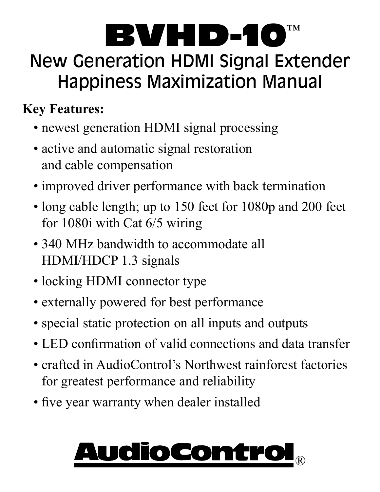### BVHD-10 New Generation HDMI Signal Extender Happiness Maximization Manual ™

### **Key Features:**

- newest generation HDMI signal processing
- active and automatic signal restoration and cable compensation
- improved driver performance with back termination
- long cable length; up to 150 feet for 1080p and 200 feet for 1080i with Cat 6/5 wiring
- 340 MHz bandwidth to accommodate all HDMI/HDCP 1.3 signals
- locking HDMI connector type
- externally powered for best performance
- special static protection on all inputs and outputs
- LED confirmation of valid connections and data transfer
- crafted in AudioControl's Northwest rainforest factories for greatest performance and reliability
- five year warranty when dealer installed

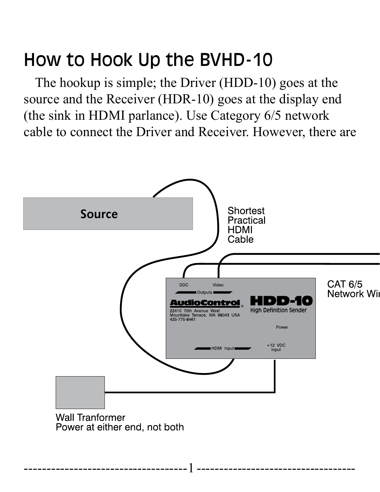## How to Hook Up the BVHD-10

The hookup is simple; the Driver (HDD-10) goes at the source and the Receiver (HDR-10) goes at the display end (the sink in HDMI parlance). Use Category 6/5 network cable to connect the Driver and Receiver. However, there are

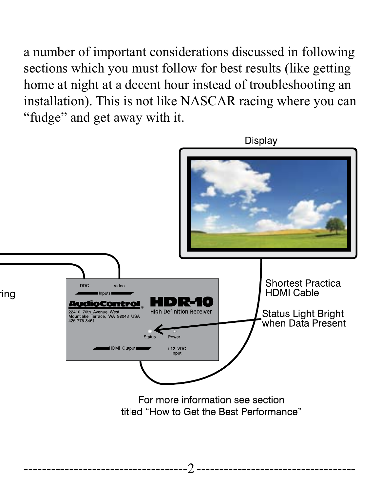a number of important considerations discussed in following sections which you must follow for best results (like getting home at night at a decent hour instead of troubleshooting an installation). This is not like NASCAR racing where you can



"fudge" and get away with it.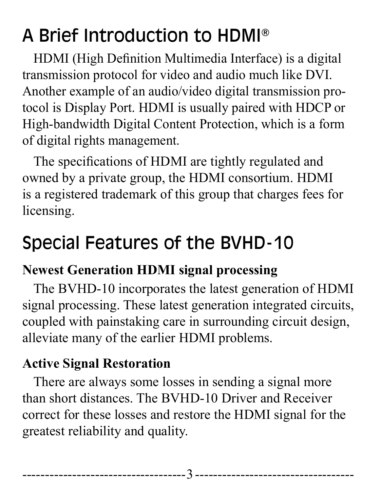# A Brief Introduction to HDMI®

HDMI (High Definition Multimedia Interface) is a digital transmission protocol for video and audio much like DVI. Another example of an audio/video digital transmission protocol is Display Port. HDMI is usually paired with HDCP or High-bandwidth Digital Content Protection, which is a form of digital rights management.

The specifications of HDMI are tightly regulated and owned by a private group, the HDMI consortium. HDMI is a registered trademark of this group that charges fees for licensing.

## Special Features of the BVHD-10

#### **Newest Generation HDMI signal processing**

The BVHD-10 incorporates the latest generation of HDMI signal processing. These latest generation integrated circuits, coupled with painstaking care in surrounding circuit design, alleviate many of the earlier HDMI problems.

#### **Active Signal Restoration**

There are always some losses in sending a signal more than short distances. The BVHD-10 Driver and Receiver correct for these losses and restore the HDMI signal for the greatest reliability and quality.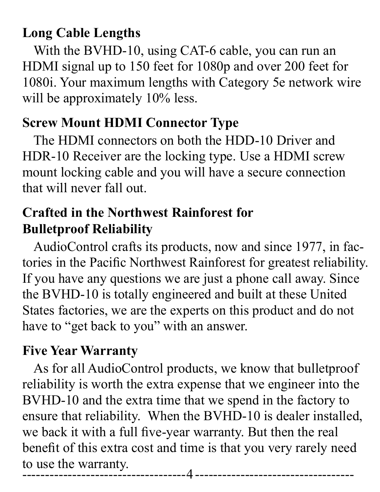#### **Long Cable Lengths**

With the BVHD-10, using CAT-6 cable, you can run an HDMI signal up to 150 feet for 1080p and over 200 feet for 1080i. Your maximum lengths with Category 5e network wire will be approximately 10% less.

#### **Screw Mount HDMI Connector Type**

The HDMI connectors on both the HDD-10 Driver and HDR-10 Receiver are the locking type. Use a HDMI screw mount locking cable and you will have a secure connection that will never fall out.

#### **Crafted in the Northwest Rainforest for Bulletproof Reliability**

AudioControl crafts its products, now and since 1977, in factories in the Pacific Northwest Rainforest for greatest reliability. If you have any questions we are just a phone call away. Since the BVHD-10 is totally engineered and built at these United States factories, we are the experts on this product and do not have to "get back to you" with an answer.

#### **Five Year Warranty**

As for all AudioControl products, we know that bulletproof reliability is worth the extra expense that we engineer into the BVHD-10 and the extra time that we spend in the factory to ensure that reliability. When the BVHD-10 is dealer installed, we back it with a full five-year warranty. But then the real benefit of this extra cost and time is that you very rarely need to use the warranty. ------------------------------------4 -----------------------------------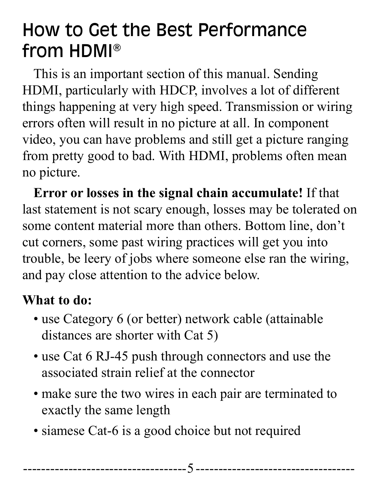## How to Get the Best Performance from HDMI®

This is an important section of this manual. Sending HDMI, particularly with HDCP, involves a lot of different things happening at very high speed. Transmission or wiring errors often will result in no picture at all. In component video, you can have problems and still get a picture ranging from pretty good to bad. With HDMI, problems often mean no picture.

**Error or losses in the signal chain accumulate!** If that last statement is not scary enough, losses may be tolerated on some content material more than others. Bottom line, don't cut corners, some past wiring practices will get you into trouble, be leery of jobs where someone else ran the wiring, and pay close attention to the advice below.

#### **What to do:**

- use Category 6 (or better) network cable (attainable distances are shorter with Cat 5)
- use Cat 6 RJ-45 push through connectors and use the associated strain relief at the connector
- make sure the two wires in each pair are terminated to exactly the same length
- siamese Cat-6 is a good choice but not required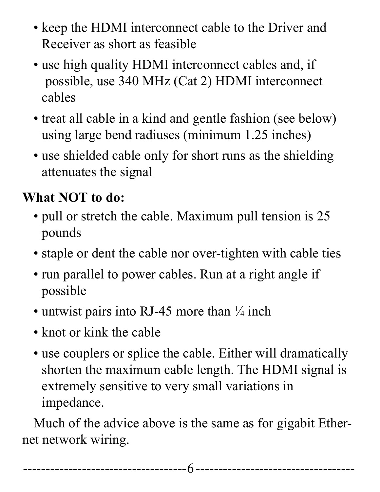- keep the HDMI interconnect cable to the Driver and Receiver as short as feasible
- use high quality HDMI interconnect cables and, if possible, use 340 MHz (Cat 2) HDMI interconnect cables
- treat all cable in a kind and gentle fashion (see below) using large bend radiuses (minimum 1.25 inches)
- use shielded cable only for short runs as the shielding attenuates the signal

### **What NOT to do:**

- pull or stretch the cable. Maximum pull tension is 25 pounds
- staple or dent the cable nor over-tighten with cable ties
- run parallel to power cables. Run at a right angle if possible
- untwist pairs into RJ-45 more than  $\frac{1}{4}$  inch
- knot or kink the cable
- use couplers or splice the cable. Either will dramatically shorten the maximum cable length. The HDMI signal is extremely sensitive to very small variations in impedance.

Much of the advice above is the same as for gigabit Ethernet network wiring.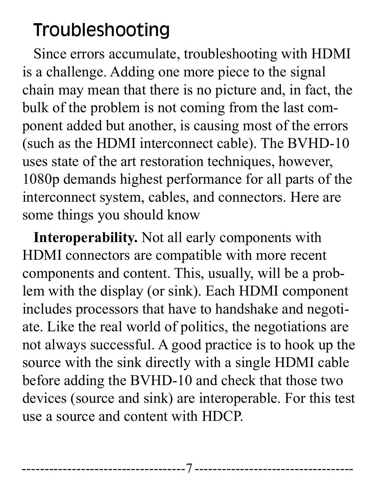## Troubleshooting

Since errors accumulate, troubleshooting with HDMI is a challenge. Adding one more piece to the signal chain may mean that there is no picture and, in fact, the bulk of the problem is not coming from the last component added but another, is causing most of the errors (such as the HDMI interconnect cable). The BVHD-10 uses state of the art restoration techniques, however, 1080p demands highest performance for all parts of the interconnect system, cables, and connectors. Here are some things you should know

**Interoperability.** Not all early components with HDMI connectors are compatible with more recent components and content. This, usually, will be a problem with the display (or sink). Each HDMI component includes processors that have to handshake and negotiate. Like the real world of politics, the negotiations are not always successful. A good practice is to hook up the source with the sink directly with a single HDMI cable before adding the BVHD-10 and check that those two devices (source and sink) are interoperable. For this test use a source and content with HDCP.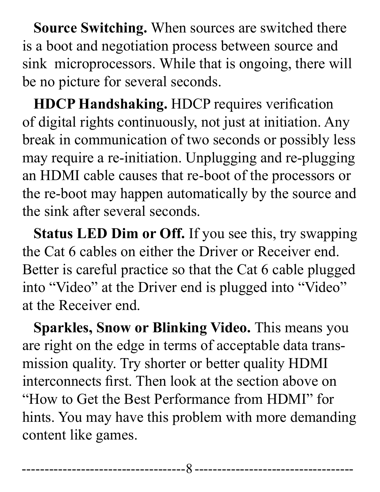**Source Switching.** When sources are switched there is a boot and negotiation process between source and sink microprocessors. While that is ongoing, there will be no picture for several seconds.

**HDCP Handshaking.** HDCP requires verification of digital rights continuously, not just at initiation. Any break in communication of two seconds or possibly less may require a re-initiation. Unplugging and re-plugging an HDMI cable causes that re-boot of the processors or the re-boot may happen automatically by the source and the sink after several seconds.

**Status LED Dim or Off.** If you see this, try swapping the Cat 6 cables on either the Driver or Receiver end. Better is careful practice so that the Cat 6 cable plugged into "Video" at the Driver end is plugged into "Video" at the Receiver end.

**Sparkles, Snow or Blinking Video.** This means you are right on the edge in terms of acceptable data transmission quality. Try shorter or better quality HDMI interconnects first. Then look at the section above on "How to Get the Best Performance from HDMI" for hints. You may have this problem with more demanding content like games.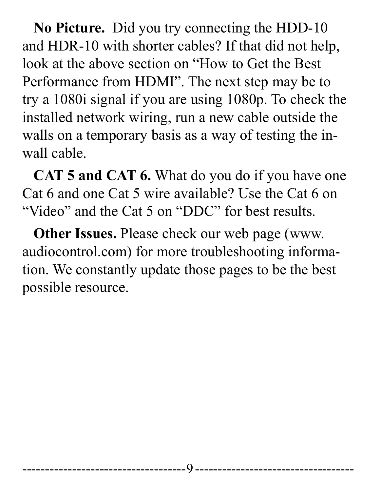**No Picture.** Did you try connecting the HDD-10 and HDR-10 with shorter cables? If that did not help, look at the above section on "How to Get the Best Performance from HDMI". The next step may be to try a 1080i signal if you are using 1080p. To check the installed network wiring, run a new cable outside the walls on a temporary basis as a way of testing the inwall cable.

**CAT 5 and CAT 6.** What do you do if you have one Cat 6 and one Cat 5 wire available? Use the Cat 6 on "Video" and the Cat 5 on "DDC" for best results.

**Other Issues.** Please check our web page (www. audiocontrol.com) for more troubleshooting information. We constantly update those pages to be the best possible resource.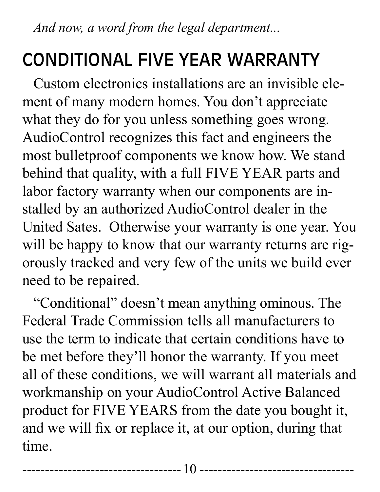*And now, a word from the legal department...*

## CONDITIONAL FIVE YEAR WARRANTY

Custom electronics installations are an invisible element of many modern homes. You don't appreciate what they do for you unless something goes wrong. AudioControl recognizes this fact and engineers the most bulletproof components we know how. We stand behind that quality, with a full FIVE YEAR parts and labor factory warranty when our components are installed by an authorized AudioControl dealer in the United Sates. Otherwise your warranty is one year. You will be happy to know that our warranty returns are rigorously tracked and very few of the units we build ever need to be repaired.

"Conditional" doesn't mean anything ominous. The Federal Trade Commission tells all manufacturers to use the term to indicate that certain conditions have to be met before they'll honor the warranty. If you meet all of these conditions, we will warrant all materials and workmanship on your AudioControl Active Balanced product for FIVE YEARS from the date you bought it, and we will fix or replace it, at our option, during that time.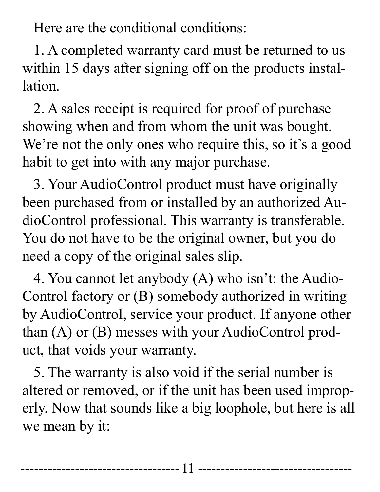Here are the conditional conditions:

1. A completed warranty card must be returned to us within 15 days after signing off on the products installation.

2. A sales receipt is required for proof of purchase showing when and from whom the unit was bought. We're not the only ones who require this, so it's a good habit to get into with any major purchase.

3. Your AudioControl product must have originally been purchased from or installed by an authorized AudioControl professional. This warranty is transferable. You do not have to be the original owner, but you do need a copy of the original sales slip.

4. You cannot let anybody (A) who isn't: the Audio-Control factory or (B) somebody authorized in writing by AudioControl, service your product. If anyone other than (A) or (B) messes with your AudioControl product, that voids your warranty.

5. The warranty is also void if the serial number is altered or removed, or if the unit has been used improperly. Now that sounds like a big loophole, but here is all we mean by it: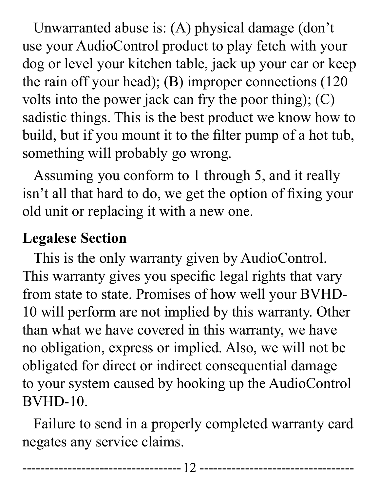Unwarranted abuse is: (A) physical damage (don't use your AudioControl product to play fetch with your dog or level your kitchen table, jack up your car or keep the rain off your head); (B) improper connections (120 volts into the power jack can fry the poor thing); (C) sadistic things. This is the best product we know how to build, but if you mount it to the filter pump of a hot tub, something will probably go wrong.

Assuming you conform to 1 through 5, and it really isn't all that hard to do, we get the option of fixing your old unit or replacing it with a new one.

### **Legalese Section**

This is the only warranty given by AudioControl. This warranty gives you specific legal rights that vary from state to state. Promises of how well your BVHD-10 will perform are not implied by this warranty. Other than what we have covered in this warranty, we have no obligation, express or implied. Also, we will not be obligated for direct or indirect consequential damage to your system caused by hooking up the AudioControl BVHD-10.

Failure to send in a properly completed warranty card negates any service claims.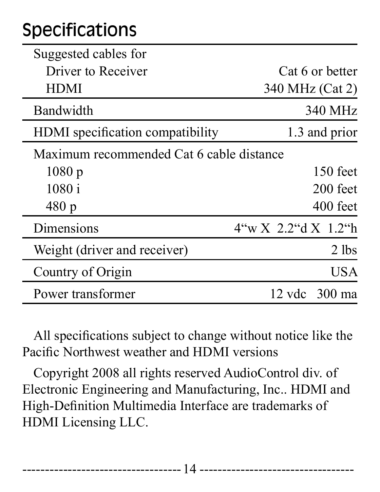# Specifications

| Suggested cables for                     |                        |
|------------------------------------------|------------------------|
| Driver to Receiver                       | Cat 6 or better        |
| <b>HDMI</b>                              | 340 MHz (Cat 2)        |
| Bandwidth                                | 340 MHz                |
| HDMI specification compatibility         | 1.3 and prior          |
| Maximum recommended Cat 6 cable distance |                        |
| 1080p                                    | $150$ feet             |
| 1080 i                                   | 200 feet               |
| 480 p                                    | 400 feet               |
| Dimensions                               | 4``w X 2.2``d X 1.2``h |
| Weight (driver and receiver)             | 2 lbs                  |
| Country of Origin                        | USA                    |
| Power transformer                        | 12 vdc 300 ma          |

All specifications subject to change without notice like the Pacific Northwest weather and HDMI versions

Copyright 2008 all rights reserved AudioControl div. of Electronic Engineering and Manufacturing, Inc.. HDMI and High-Definition Multimedia Interface are trademarks of HDMI Licensing LLC.